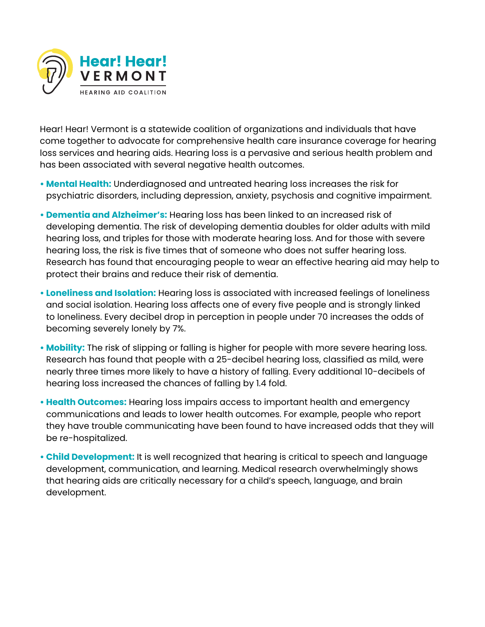

Hear! Hear! Vermont is a statewide coalition of organizations and individuals that have come together to advocate for comprehensive health care insurance coverage for hearing loss services and hearing aids. Hearing loss is a pervasive and serious health problem and has been associated with several negative health outcomes.

- **Mental Health:** Underdiagnosed and untreated hearing loss increases the risk for psychiatric disorders, including depression, anxiety, psychosis and cognitive impairment.
- **Dementia and Alzheimer's:** Hearing loss has been linked to an increased risk of developing dementia. The risk of developing dementia doubles for older adults with mild hearing loss, and triples for those with moderate hearing loss. And for those with severe hearing loss, the risk is five times that of someone who does not suffer hearing loss. Research has found that encouraging people to wear an effective hearing aid may help to protect their brains and reduce their risk of dementia.
- **Loneliness and Isolation:** Hearing loss is associated with increased feelings of loneliness and social isolation. Hearing loss affects one of every five people and is strongly linked to loneliness. Every decibel drop in perception in people under 70 increases the odds of becoming severely lonely by 7%.
- **Mobility:** The risk of slipping or falling is higher for people with more severe hearing loss. Research has found that people with a 25-decibel hearing loss, classified as mild, were nearly three times more likely to have a history of falling. Every additional 10-decibels of hearing loss increased the chances of falling by 1.4 fold.
- **Health Outcomes:** Hearing loss impairs access to important health and emergency communications and leads to lower health outcomes. For example, people who report they have trouble communicating have been found to have increased odds that they will be re-hospitalized.
- **Child Development:** It is well recognized that hearing is critical to speech and language development, communication, and learning. Medical research overwhelmingly shows that hearing aids are critically necessary for a child's speech, language, and brain development.